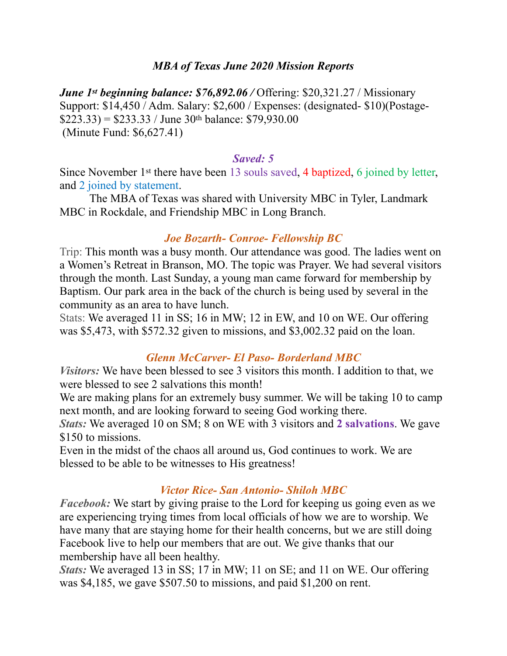#### *MBA of Texas June 2020 Mission Reports*

*June 1st beginning balance: \$76,892.06 / Offering: \$20,321.27 / Missionary* Support: \$14,450 / Adm. Salary: \$2,600 / Expenses: (designated- \$10)(Postage-  $$223.33$ ) = \$233.33 / June 30<sup>th</sup> balance: \$79,930.00 (Minute Fund: \$6,627.41)

#### *Saved: 5*

Since November 1st there have been 13 souls saved, 4 baptized, 6 joined by letter, and 2 joined by statement.

 The MBA of Texas was shared with University MBC in Tyler, Landmark MBC in Rockdale, and Friendship MBC in Long Branch.

#### *Joe Bozarth- Conroe- Fellowship BC*

Trip: This month was a busy month. Our attendance was good. The ladies went on a Women's Retreat in Branson, MO. The topic was Prayer. We had several visitors through the month. Last Sunday, a young man came forward for membership by Baptism. Our park area in the back of the church is being used by several in the community as an area to have lunch.

Stats: We averaged 11 in SS; 16 in MW; 12 in EW, and 10 on WE. Our offering was \$5,473, with \$572.32 given to missions, and \$3,002.32 paid on the loan.

#### *Glenn McCarver- El Paso- Borderland MBC*

*Visitors:* We have been blessed to see 3 visitors this month. I addition to that, we were blessed to see 2 salvations this month!

We are making plans for an extremely busy summer. We will be taking 10 to camp next month, and are looking forward to seeing God working there.

*Stats:* We averaged 10 on SM; 8 on WE with 3 visitors and **2 salvations**. We gave \$150 to missions.

Even in the midst of the chaos all around us, God continues to work. We are blessed to be able to be witnesses to His greatness!

### *Victor Rice- San Antonio- Shiloh MBC*

*Facebook:* We start by giving praise to the Lord for keeping us going even as we are experiencing trying times from local officials of how we are to worship. We have many that are staying home for their health concerns, but we are still doing Facebook live to help our members that are out. We give thanks that our membership have all been healthy.

*Stats:* We averaged 13 in SS; 17 in MW; 11 on SE; and 11 on WE. Our offering was \$4,185, we gave \$507.50 to missions, and paid \$1,200 on rent.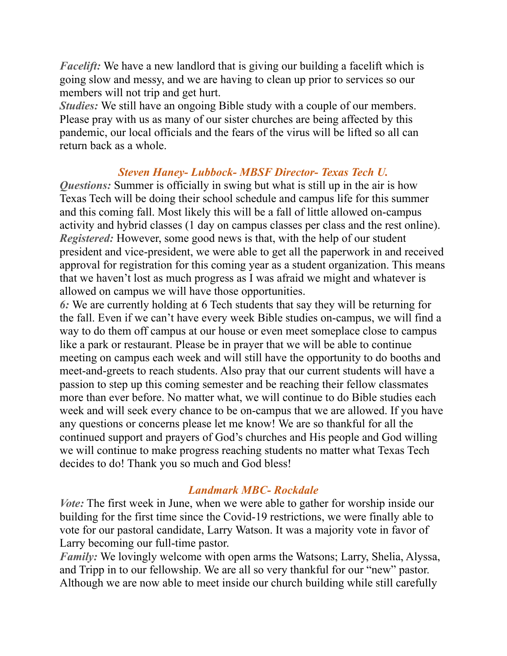*Facelift:* We have a new landlord that is giving our building a facelift which is going slow and messy, and we are having to clean up prior to services so our members will not trip and get hurt.

*Studies:* We still have an ongoing Bible study with a couple of our members. Please pray with us as many of our sister churches are being affected by this pandemic, our local officials and the fears of the virus will be lifted so all can return back as a whole.

## *Steven Haney- Lubbock- MBSF Director- Texas Tech U.*

*Questions:* Summer is officially in swing but what is still up in the air is how Texas Tech will be doing their school schedule and campus life for this summer and this coming fall. Most likely this will be a fall of little allowed on-campus activity and hybrid classes (1 day on campus classes per class and the rest online). *Registered:* However, some good news is that, with the help of our student president and vice-president, we were able to get all the paperwork in and received approval for registration for this coming year as a student organization. This means that we haven't lost as much progress as I was afraid we might and whatever is allowed on campus we will have those opportunities.

*6:* We are currently holding at 6 Tech students that say they will be returning for the fall. Even if we can't have every week Bible studies on-campus, we will find a way to do them off campus at our house or even meet someplace close to campus like a park or restaurant. Please be in prayer that we will be able to continue meeting on campus each week and will still have the opportunity to do booths and meet-and-greets to reach students. Also pray that our current students will have a passion to step up this coming semester and be reaching their fellow classmates more than ever before. No matter what, we will continue to do Bible studies each week and will seek every chance to be on-campus that we are allowed. If you have any questions or concerns please let me know! We are so thankful for all the continued support and prayers of God's churches and His people and God willing we will continue to make progress reaching students no matter what Texas Tech decides to do! Thank you so much and God bless!

### *Landmark MBC- Rockdale*

*Vote:* The first week in June, when we were able to gather for worship inside our building for the first time since the Covid-19 restrictions, we were finally able to vote for our pastoral candidate, Larry Watson. It was a majority vote in favor of Larry becoming our full-time pastor.

*Family:* We lovingly welcome with open arms the Watsons; Larry, Shelia, Alyssa, and Tripp in to our fellowship. We are all so very thankful for our "new" pastor. Although we are now able to meet inside our church building while still carefully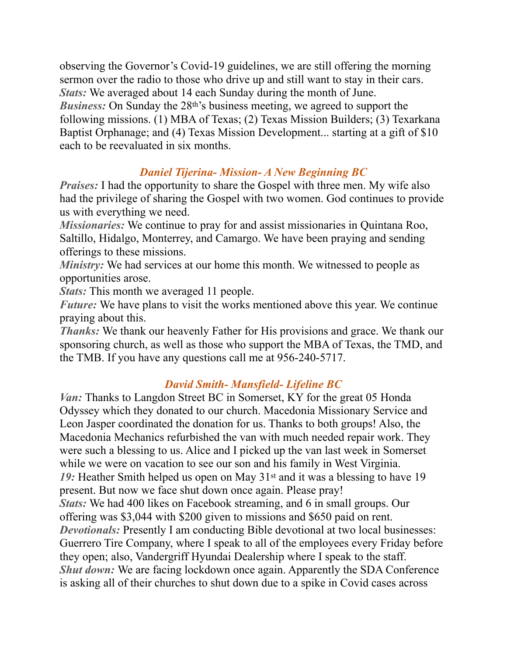observing the Governor's Covid-19 guidelines, we are still offering the morning sermon over the radio to those who drive up and still want to stay in their cars. *Stats:* We averaged about 14 each Sunday during the month of June. *Business:* On Sunday the 28<sup>th'</sup>s business meeting, we agreed to support the following missions. (1) MBA of Texas; (2) Texas Mission Builders; (3) Texarkana Baptist Orphanage; and (4) Texas Mission Development... starting at a gift of \$10 each to be reevaluated in six months.

# *Daniel Tijerina- Mission- A New Beginning BC*

*Praises:* I had the opportunity to share the Gospel with three men. My wife also had the privilege of sharing the Gospel with two women. God continues to provide us with everything we need.

*Missionaries:* We continue to pray for and assist missionaries in Quintana Roo, Saltillo, Hidalgo, Monterrey, and Camargo. We have been praying and sending offerings to these missions.

*Ministry:* We had services at our home this month. We witnessed to people as opportunities arose.

*Stats:* This month we averaged 11 people.

*Future:* We have plans to visit the works mentioned above this year. We continue praying about this.

*Thanks:* We thank our heavenly Father for His provisions and grace. We thank our sponsoring church, as well as those who support the MBA of Texas, the TMD, and the TMB. If you have any questions call me at 956-240-5717.

## *David Smith- Mansfield- Lifeline BC*

*Van:* Thanks to Langdon Street BC in Somerset, KY for the great 05 Honda Odyssey which they donated to our church. Macedonia Missionary Service and Leon Jasper coordinated the donation for us. Thanks to both groups! Also, the Macedonia Mechanics refurbished the van with much needed repair work. They were such a blessing to us. Alice and I picked up the van last week in Somerset while we were on vacation to see our son and his family in West Virginia. 19: Heather Smith helped us open on May 31<sup>st</sup> and it was a blessing to have 19 present. But now we face shut down once again. Please pray! *Stats:* We had 400 likes on Facebook streaming, and 6 in small groups. Our offering was \$3,044 with \$200 given to missions and \$650 paid on rent. *Devotionals:* Presently I am conducting Bible devotional at two local businesses: Guerrero Tire Company, where I speak to all of the employees every Friday before they open; also, Vandergriff Hyundai Dealership where I speak to the staff. *Shut down:* We are facing lockdown once again. Apparently the SDA Conference is asking all of their churches to shut down due to a spike in Covid cases across